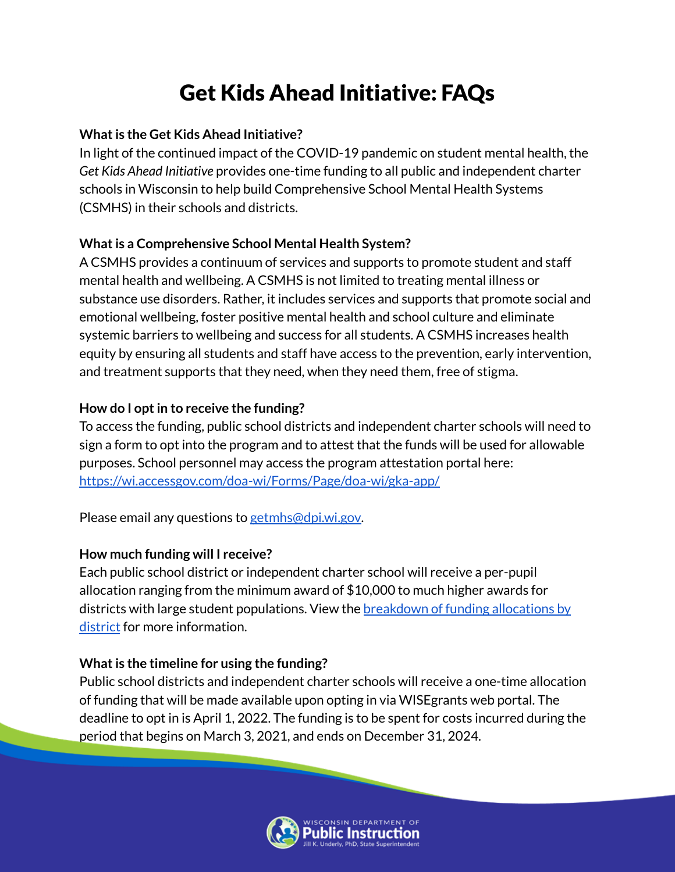# Get Kids Ahead Initiative: FAQs

#### **Whatis the Get Kids Ahead Initiative?**

In light of the continued impact of the COVID-19 pandemic on student mental health, the *Get Kids Ahead Initiative* provides one-time funding to all public and independent charter schools in Wisconsin to help build Comprehensive School Mental Health Systems (CSMHS) in their schools and districts.

## **What is a Comprehensive School Mental Health System?**

A CSMHS provides a continuum of services and supports to promote student and staff mental health and wellbeing. A CSMHS is not limited to treating mental illness or substance use disorders. Rather, it includes services and supports that promote social and emotional wellbeing, foster positive mental health and school culture and eliminate systemic barriers to wellbeing and success for all students. A CSMHS increases health equity by ensuring all students and staff have access to the prevention, early intervention, and treatment supports that they need, when they need them, free of stigma.

## **How do I optin to receive the funding?**

To access the funding, public school districts and independent charter schools will need to sign a form to opt into the program and to attest that the funds will be used for allowable purposes. School personnel may access the program attestation portal here: <https://wi.accessgov.com/doa-wi/Forms/Page/doa-wi/gka-app/>

Please email any questions to [getmhs@dpi.wi.gov.](mailto:getmhs@dpi.wisconsin.gov)

## **How much funding will I receive?**

Each public school district or independent charter school will receive a per-pupil allocation ranging from the minimum award of \$10,000 to much higher awards for districts with large student populations. View the **[breakdown](https://content.govdelivery.com/attachments/WIGOV/2022/02/15/file_attachments/2077565/2022%20SOTS_K-12%20Mental%20Health%20Allocations.pdf) of funding allocations by** [district](https://content.govdelivery.com/attachments/WIGOV/2022/02/15/file_attachments/2077565/2022%20SOTS_K-12%20Mental%20Health%20Allocations.pdf) for more information.

## **What is the timeline for using the funding?**

Public school districts and independent charter schools will receive a one-time allocation of funding that will be made available upon opting in via WISEgrants web portal. The deadline to opt in is April 1, 2022. The funding is to be spent for costs incurred during the period that begins on March 3, 2021, and ends on December 31, 2024.

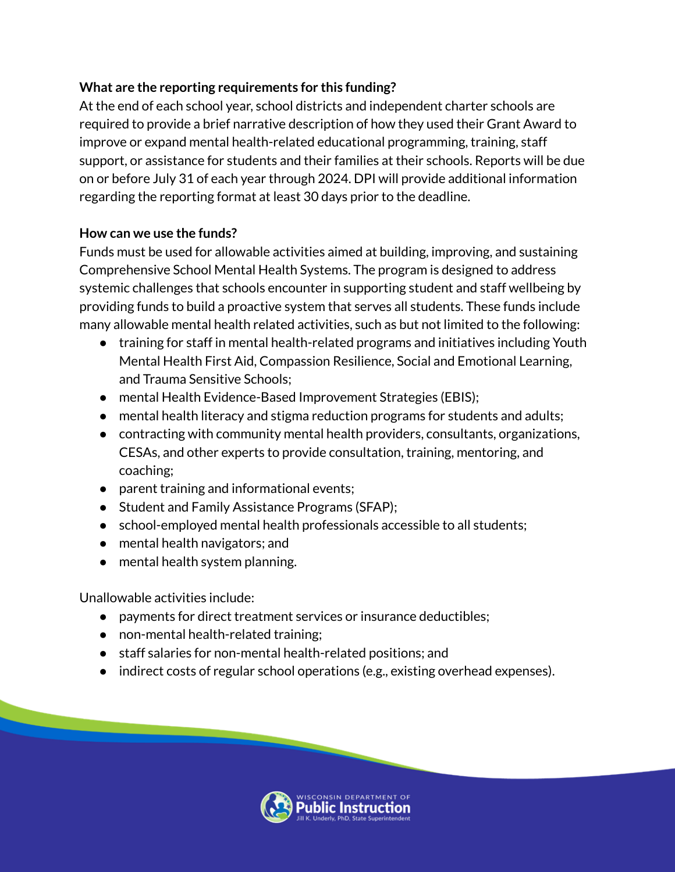#### **What are the reporting requirements for this funding?**

At the end of each school year, school districts and independent charter schools are required to provide a brief narrative description of how they used their Grant Award to improve or expand mental health-related educational programming, training, staff support, or assistance for students and their families at their schools. Reports will be due on or before July 31 of each year through 2024. DPI will provide additional information regarding the reporting format at least 30 days prior to the deadline.

#### **How can we use the funds?**

Funds must be used for allowable activities aimed at building, improving, and sustaining Comprehensive School Mental Health Systems. The program is designed to address systemic challenges that schools encounter in supporting student and staff wellbeing by providing funds to build a proactive system that serves all students. These funds include many allowable mental health related activities, such as but not limited to the following:

- training for staff in mental health-related programs and initiatives including Youth Mental Health First Aid, Compassion Resilience, Social and Emotional Learning, and Trauma Sensitive Schools;
- mental Health Evidence-Based Improvement Strategies (EBIS);
- mental health literacy and stigma reduction programs for students and adults;
- contracting with community mental health providers, consultants, organizations, CESAs, and other experts to provide consultation, training, mentoring, and coaching;
- parent training and informational events;
- Student and Family Assistance Programs (SFAP);
- school-employed mental health professionals accessible to all students;
- mental health navigators; and
- mental health system planning.

Unallowable activities include:

- payments for direct treatment services or insurance deductibles;
- non-mental health-related training;
- staff salaries for non-mental health-related positions; and
- indirect costs of regular school operations (e.g., existing overhead expenses).